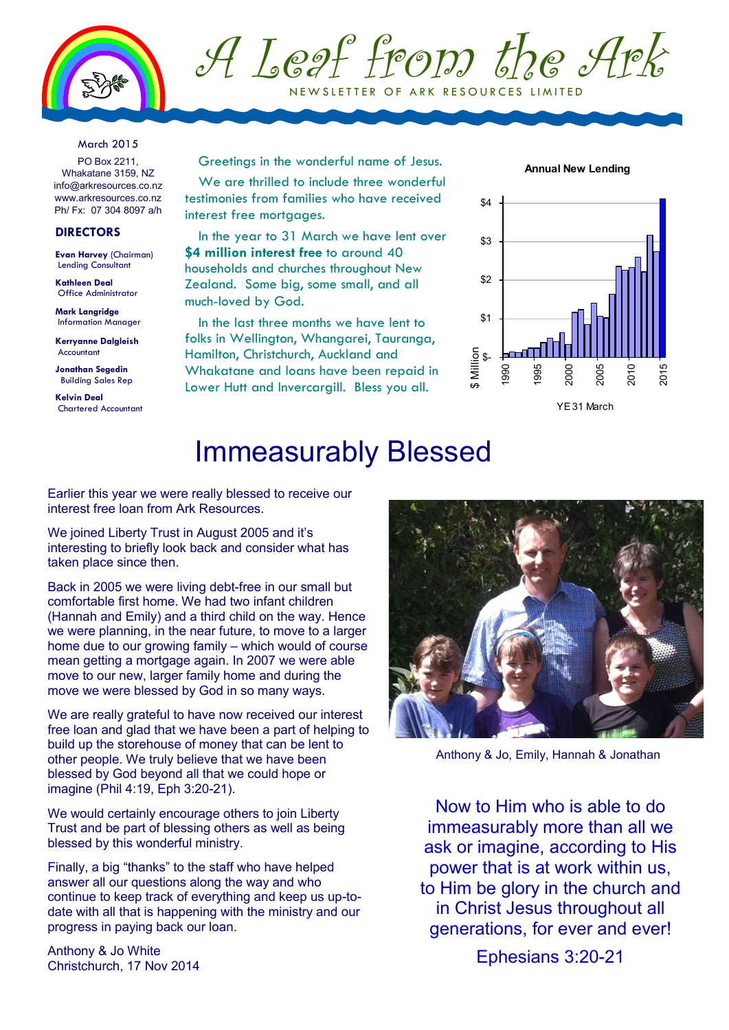



March 2015

PO Box 2211, Whakatane 3159, NZ info@arkresources.co.nz www.arkresources.co.nz Ph/ Fx: 07 304 8097 a/h

## **DIRECTORS**

**Evan Harvey** (Chairman) Lending Consultant

**Kathleen Deal** Office Administrator

**Mark Langridge** Information Manager

**Kerryanne Dalgleish** Accountant

**Jonathan Segedin** Building Sales Rep

**Kelvin Deal** Chartered Accountant Greetings in the wonderful name of Jesus.

We are thrilled to include three wonderful testimonies from families who have received interest free mortagges.

In the year to 31 March we have lent over **\$4 million interest free to around 40** households and churches throughout New Zealand. Some big, some small, and all much-loved by God.

In the last three months we have lent to folks in Wellington, Whangarei, Tauranga, Hamilton, Christchurch, Auckland and Whakatane and loans have been repaid in Lower Hutt and Invercaraill. Bless you all.

**Annual New Lending** 



YE 31 March

## Immeasurably Blessed

Earlier this year we were really blessed to receive our interest free loan from Ark Resources.

We joined Liberty Trust in August 2005 and it's interesting to briefly look back and consider what has taken place since then.

Back in 2005 we were living debt-free in our small but comfortable first home. We had two infant children (Hannah and Emily) and a third child on the way. Hence we were planning, in the near future, to move to a larger home due to our growing family – which would of course mean getting a mortgage again. In 2007 we were able move to our new, larger family home and during the move we were blessed by God in so many ways.

We are really grateful to have now received our interest free loan and glad that we have been a part of helping to build up the storehouse of money that can be lent to other people. We truly believe that we have been blessed by God beyond all that we could hope or imagine (Phil 4:19, Eph 3:20-21).

We would certainly encourage others to join Liberty Trust and be part of blessing others as well as being blessed by this wonderful ministry.

Finally, a big "thanks" to the staff who have helped answer all our questions along the way and who continue to keep track of everything and keep us up-todate with all that is happening with the ministry and our progress in paying back our loan.

Anthony & Jo White Christchurch, 17 Nov 2014



Anthony & Jo, Emily, Hannah & Jonathan

Now to Him who is able to do immeasurably more than all we ask or imagine, according to His power that is at work within us, to Him be glory in the church and in Christ Jesus throughout all generations, for ever and ever!

Ephesians 3:20-21